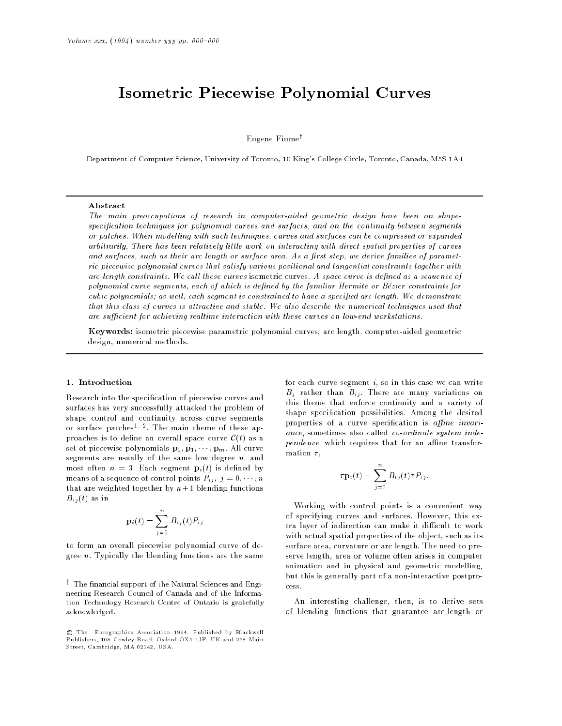# Isometric Piecewise Polynomial Curves

Eugene Fiume<sup>t</sup>

Department of Computer Science, University of Toronto, 10 King's College Circle, Toronto, Canada, M5S 1A4

## Abstract

The main preoccupations of research in computer-aided geometric design have been on shapespecification techniques for polynomial curves and surfaces, and on the continuity between segments or patches. When modelling with such techniques, curves and surfaces can be compressed or expanded arbitrarily. There has been relatively little work on interacting with direct spatial properties of curves and surfaces, such as their arc length or surface area. As a first step, we derive families of parametric piecewise polynomial curves that satisfy various positional and tangential constraints together with arc-length constraints. We call these curves isometric curves. A space curve is defined as a sequence of polynomial curve segments, each of which is defined by the familiar Hermite or Bézier constraints for cubic polynomials; as well, each segment is constrained to have a specified arc length. We demonstrate that this class of curves is attractive and stable. We also describe the numerical techniques used that are sufficient for achieving realtime interaction with these curves on low-end workstations.

Keywords: isometric piecewise parametric polynomial curves, arc length, computer-aided geometric design, numerical methods.

#### 1. Introduction

Research into the specification of piecewise curves and surfaces has very successfully attacked the problem of shape control and continuity across curve segments or surface patches" ". The main theme of these approaches is to define an overall space curve  $\mathcal{C}(t)$  as a set of piecewise polynomials  $\mathbf{p}_0, \mathbf{p}_1, \cdots, \mathbf{p}_m$ . All curve segments are usually of the same low degree  $n$ , and most often  $n = 3$ . Each segment  $\mathbf{p}_i(t)$  is defined by means of a sequence of control points  $P_{ij}$ ,  $j = 0, \dots, n$ that are weighted together by  $n+1$  blending functions  $B_{ij}(t)$  as in

$$
\mathbf{p}_i(t) = \sum_{j=0}^n B_{ij}(t) P_{ij}
$$

to form an overall piecewise polynomial curve of degree n. Typically the blending functions are the same

 $^{\rm +}$  The nnancial support of the Natural Sciences and Engineering Research Council of Canada and of the Information Technology Research Centre of Ontario is gratefully acknowledged.

for each curve segment  $i$ , so in this case we can write  $B_j$  rather than  $B_{ij}$ . There are many variations on this theme that enforce continuity and a variety of shape specification possibilities. Among the desired properties of a curve specification is affine invariance, sometimes also called co-ordinate system inde $pendence$ , which requires that for an affine transformation  $\tau$ ,

$$
\tau \mathbf{p}_i(t) = \sum_{j=0}^n B_{ij}(t) \tau P_{ij}.
$$

Working with control points is a convenient way of specifying curves and surfaces. However, this extra layer of indirection can make it difficult to work with actual spatial properties of the object, such as its surface area, curvature or arc length. The need to preserve length, area or volume often arises in computer animation and in physical and geometric modelling, but this is generally part of a non-interactive postprocess.

An interesting challenge, then, is to derive sets of blending functions that guarantee arc-length or

<sup>c</sup> The Eurographics Association 1994. Published by Blackwell Publishers, 108 Cowley Road, Oxford OX4 1JF, UK and 238 Main Street, Cambridge, MA 02142, USA.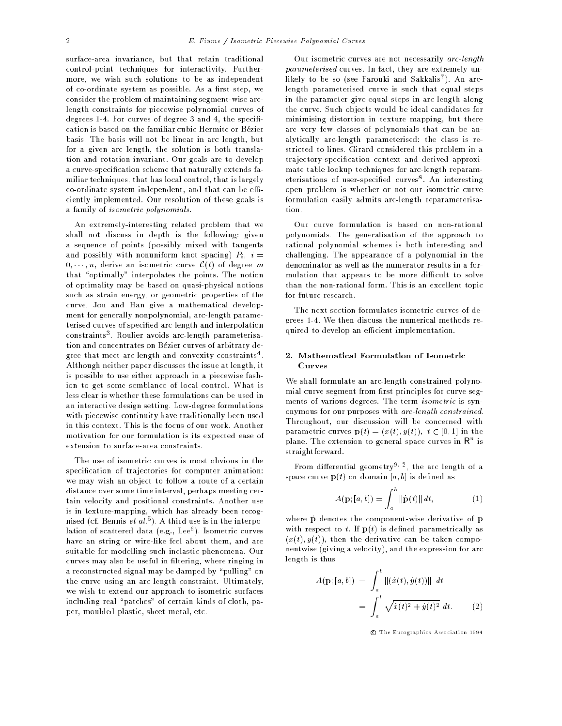surface-area invariance, but that retain traditional control-point techniques for interactivity. Furthermore, we wish such solutions to be as independent of co-ordinate system as possible. As a first step, we consider the problem of maintaining segment-wise arclength constraints for piecewise polynomial curves of degrees 1-4. For curves of degree 3 and 4, the specification is based on the familiar cubic Hermite or Bezier basis. The basis will not be linear in arc length, but for a given arc length, the solution is both translation and rotation invariant. Our goals are to develop a curve-specication scheme that naturally extends familiar techniques, that has local control, that is largely co-ordinate system independent, and that can be efficiently implemented. Our resolution of these goals is a family of isometric polynomials.

An extremely-interesting related problem that we shall not discuss in depth is the following: given a sequence of points (possibly mixed with tangents and possibly with nonuniform knot spacing)  $P_i$ ,  $i =$  $0, \dots, n$ , derive an isometric curve  $\mathcal{C}(t)$  of degree m that "optimally" interpolates the points. The notion of optimality may be based on quasi-physical notions such as strain energy, or geometric properties of the curve. Jou and Han give a mathematical development for generally nonpolynomial, arc-length parameterised curves of specied arc-length and interpolation constraints". Roulier avoids arc-length parameterisation and concentrates on Bezier curves of arbitrary degree that meet arc-length and convexity constraints . Although neither paper discusses the issue at length, it is possible to use either approach in a piecewise fashion to get some semblance of local control. What is less clear is whether these formulations can be used in an interactive design setting. Low-degree formulations with piecewise continuity have traditionally been used in this context. This is the focus of our work. Another motivation for our formulation is its expected ease of extension to surface-area constraints.

The use of isometric curves is most obvious in the specification of trajectories for computer animation: we may wish an object to follow a route of a certain distance over some time interval, perhaps meeting certain velocity and positional constraints. Another use is in texture-mapping, which has already been recognised (cf. Bennis et al.<sup>5</sup> ). A third use is in the interpolation of scattered data (e.g., Lee<sup>6</sup> ). Isometric curves have an string or wire-like feel about them, and are suitable for modelling such inelastic phenomena. Our curves may also be useful in ltering, where ringing in a reconstructed signal may be damped by "pulling" on the curve using an arc-length constraint. Ultimately, we wish to extend our approach to isometric surfaces including real "patches" of certain kinds of cloth, paper, moulded plastic, sheet metal, etc.

Our isometric curves are not necessarily arc-length parameterised curves. In fact, they are extremely unlikely to be so (see Farouki and Sakkalis<sup>7</sup> ). An arclength parameterised curve is such that equal steps in the parameter give equal steps in arc length along the curve. Such ob jects would be ideal candidates for minimising distortion in texture mapping, but there are very few classes of polynomials that can be analytically arc-length parameterised: the class is restricted to lines. Girard considered this problem in a trajectory-specication context and derived approximate table lookup techniques for arc-length reparameterisations of user-specified curves". An interesting open problem is whether or not our isometric curve formulation easily admits arc-length reparameterisation.

Our curve formulation is based on non-rational polynomials. The generalisation of the approach to rational polynomial schemes is both interesting and challenging. The appearance of a polynomial in the denominator as well as the numerator results in a formulation that appears to be more difficult to solve than the non-rational form. This is an excellent topic for future research.

The next section formulates isometric curves of degrees 1-4. We then discuss the numerical methods required to develop an efficient implementation.

# 2. Mathematical Formulation of Isometric Curves

We shall formulate an arc-length constrained polynomial curve segment from first principles for curve segments of various degrees. The term isometric is synonymous for our purposes with arc-length constrained. Throughout, our discussion will be concerned with parametric curves  $\mathbf{p}(t) = (x(t), y(t)), t \in [0, 1]$  in the plane. The extension to general space curves in  $\mathsf{K}^{\!\scriptscriptstyle\top}$  is straightforward.

rrom diherential geometry 19, the arc length of a space curve  $p(t)$  on domain [a, b] is defined as

$$
A(\mathbf{p};[a,b]) = \int_{a}^{b} \|\dot{\mathbf{p}}(t)\| dt, \qquad (1)
$$

where p denotes the component-wise derivative of p with respect to t. If  $p(t)$  is defined parametrically as  $(x(t), y(t))$ , then the derivative can be taken componentwise (giving a velocity), and the expression for arc length is thus

$$
A(\mathbf{p};[a,b]) = \int_a^b \left\| (\dot{x}(t), \dot{y}(t)) \right\| dt
$$
  
= 
$$
\int_a^b \sqrt{\dot{x}(t)^2 + \dot{y}(t)^2} dt.
$$
 (2)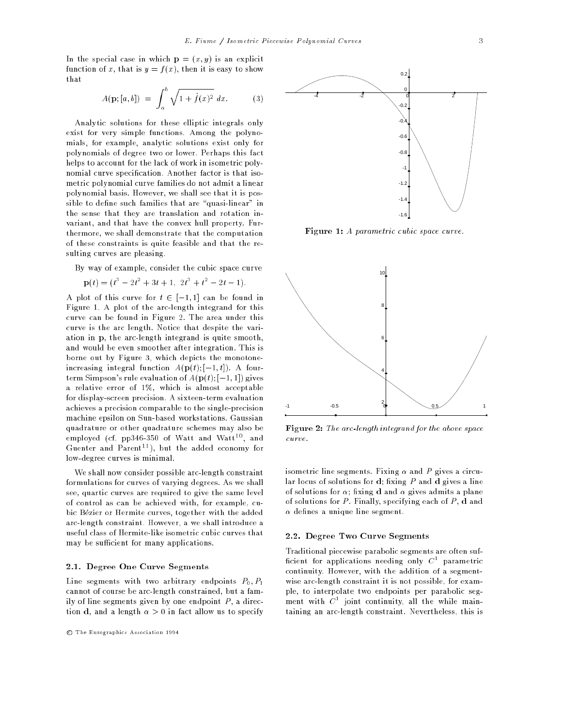In the special case in which  $\mathbf{p} = (x, y)$  is an explicit function of x, that is  $y = f(x)$ , then it is easy to show that

$$
A(\mathbf{p};[a,b]) = \int_{a}^{b} \sqrt{1 + \dot{f}(x)^2} \, dx. \tag{3}
$$

Analytic solutions for these elliptic integrals only exist for very simple functions. Among the polynomials, for example, analytic solutions exist only for polynomials of degree two or lower. Perhaps this fact helps to account for the lack of work in isometric polynomial curve specification. Another factor is that isometric polynomial curve families do not admit a linear polynomial basis. However, we shall see that it is possible to define such families that are "quasi-linear" in the sense that they are translation and rotation invariant, and that have the convex hull property. Furthermore, we shall demonstrate that the computation of these constraints is quite feasible and that the resulting curves are pleasing.

By way of example, consider the cubic space curve

$$
\mathbf{p}(t) = (t^3 - 2t^2 + 3t + 1, 2t^3 + t^2 - 2t - 1).
$$

A plot of this curve for  $t \in [-1, 1]$  can be found in Figure 1. A plot of the arc-length integrand for this curve can be found in Figure 2. The area under this curve is the arc length. Notice that despite the variation in p, the arc-length integrand is quite smooth, and would be even smoother after integration. This is borne out by Figure 3, which depicts the monotoneincreasing integral function  $A(\mathbf{p}(t); [-1, t])$ . A fourterm Simpson's rule evaluation of  $A(\mathbf{p}(t); [-1, 1])$  gives a relative error of 1%, which is almost acceptable for display-screen precision. A sixteen-term evaluation achieves a precision comparable to the single-precision machine epsilon on Sun-based workstations. Gaussian quadrature or other quadrature schemes may also be employed (cf. pp346-350 of watt and watt<sup>-0</sup>, and Guenter and  $Parent<sup>11</sup>)$ , but the added economy for low-degree curves is minimal.

We shall now consider possible arc-length constraint formulations for curves of varying degrees. As we shall see, quartic curves are required to give the same level of control as can be achieved with, for example, cubic Bezier or Hermite curves, together with the added arc-length constraint. However, a we shall introduce a useful class of Hermite-like isometric cubic curves that may be sufficient for many applications.

#### 2.1. Degree One Curve Segments

Line segments with two arbitrary endpoints  $P_0, P_1$ cannot of course be arc-length constrained, but a family of line segments given by one endpoint  $P$ , a direction d, and a length  $\alpha > 0$  in fact allow us to specify



Figure 1: A parametric cubic space curve.



Figure 2: The arc-length integrand for the above space curve.

isometric line segments. Fixing  $\alpha$  and P gives a circular locus of solutions for  $\bf d$ ; fixing P and  $\bf d$  gives a line of solutions for  $\alpha$ ; fixing d and  $\alpha$  gives admits a plane of solutions for  $P$ . Finally, specifying each of  $P$ ,  $d$  and  $\alpha$  defines a unique line segment.

### 2.2. Degree Two Curve Segments

Traditional piecewise parabolic segments are often suf ficient for applications needing only  $C^\intercal$  parametric continuity. However, with the addition of a segmentwise arc-length constraint it is not possible, for example, to interpolate two endpoints per parabolic segment with  $C^1$  joint continuity, all the while maintaining an arc-length constraint. Nevertheless, this is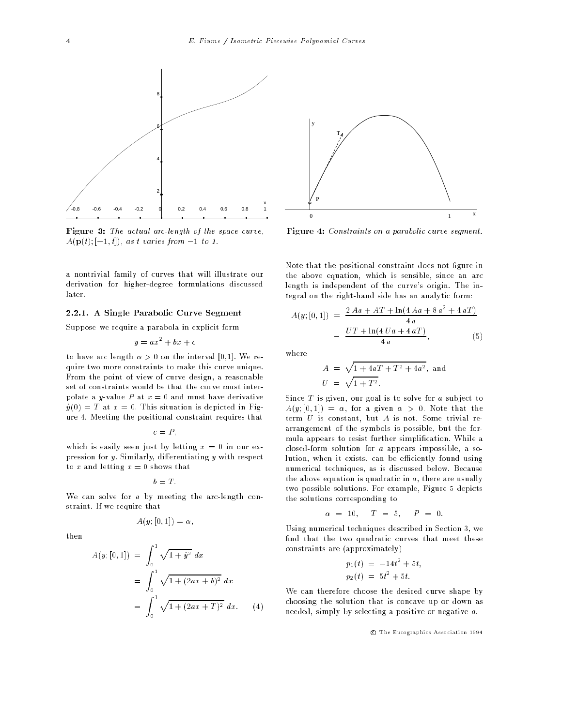

Figure 3: The actual arc-length of the space curve,  $A(\mathbf{p}(t); [-1, t]),$  as t varies from  $-1$  to 1.

a nontrivial family of curves that will illustrate our derivation for higher-degree formulations discussed later.

# 2.2.1. A Single Parabolic Curve Segment

Suppose we require a parabola in explicit form

$$
y = ax^2 + bx + c
$$

to have arc length  $\alpha > 0$  on the interval [0,1]. We require two more constraints to make this curve unique. From the point of view of curve design, a reasonable set of constraints would be that the curve must interpolate a y-value P at  $x = 0$  and must have derivative  $y(0) = T$  at  $x = 0$ . This situation is depicted in Figure 4. Meeting the positional constraint requires that

$$
c = P,
$$

which is easily seen just by letting  $x = 0$  in our expression for  $y$ . Similarly, differentiating  $y$  with respect to x and letting  $x = 0$  shows that

$$
b=T.
$$

We can solve for a by meeting the arc-length constraint. If we require that

$$
A(y;[0,1]) = \alpha,
$$

then

$$
A(y; [0, 1]) = \int_0^1 \sqrt{1 + \dot{y}^2} \, dx
$$
  
= 
$$
\int_0^1 \sqrt{1 + (2ax + b)^2} \, dx
$$
  
= 
$$
\int_0^1 \sqrt{1 + (2ax + T)^2} \, dx.
$$
 (4)



Figure 4: Constraints on a parabolic curve segment.

Note that the positional constraint does not figure in the above equation, which is sensible, since an arc length is independent of the curve's origin. The integral on the right-hand side has an analytic form:

$$
A(y; [0, 1]) = \frac{2 Aa + AT + \ln(4 Aa + 8 a^{2} + 4 a T)}{4 a}
$$

$$
- \frac{UT + \ln(4 Ua + 4 a T)}{4 a}, \qquad (5)
$$

where

$$
A = \sqrt{1 + 4aT + T^2 + 4a^2}, \text{ and}
$$
  

$$
U = \sqrt{1 + T^2}.
$$

Since  $T$  is given, our goal is to solve for a subject to  $A(y; [0, 1]) = \alpha$ , for a given  $\alpha > 0$ . Note that the term  $U$  is constant, but  $A$  is not. Some trivial rearrangement of the symbols is possible, but the formula appears to resist further simplication. While a closed-form solution for a appears impossible, a solution, when it exists, can be efficiently found using numerical techniques, as is discussed below. Because the above equation is quadratic in  $a$ , there are usually two possible solutions. For example, Figure 5 depicts the solutions corresponding to

$$
\alpha = 10, \quad T = 5, \quad P = 0.
$$

Using numerical techniques described in Section 3, we find that the two quadratic curves that meet these constraints are (approximately)

$$
p_1(t) = -14t^2 + 5t,
$$
  

$$
p_2(t) = 5t^2 + 5t.
$$

We can therefore choose the desired curve shape by choosing the solution that is concave up or down as needed, simply by selecting a positive or negative a.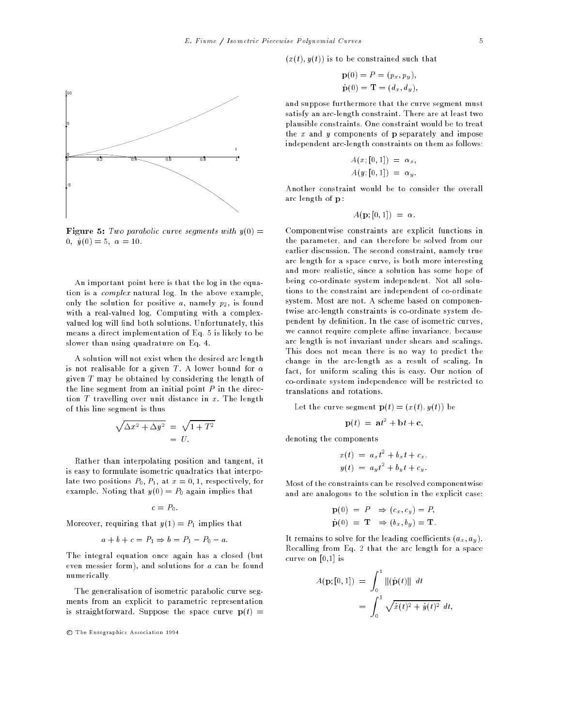

**Figure 5:** Two parabolic curve segments with  $y(0) =$ 0,  $y(0) = 5, \ \alpha = 10$ .

An important point here is that the log in the equation is a complex natural log. In the above example, only the solution for positive  $a$ , namely  $p_2$ , is found with a real-valued log. Computing with a complexvalued log will find both solutions. Unfortunately, this means a direct implementation of Eq. 5 is likely to be slower than using quadrature on Eq. 4.

A solution will not exist when the desired arc length is not realisable for a given T. A lower bound for  $\alpha$ given T may be obtained by considering the length of the line segment from an initial point  $P$  in the direction  $T$  travelling over unit distance in  $x$ . The length of this line segment is thus

$$
\sqrt{\Delta x^2 + \Delta y^2} = \sqrt{1 + T^2}
$$
  
= U.

Rather than interpolating position and tangent, it is easy to formulate isometric quadratics that interpolate two positions  $P_0$ ,  $P_1$ , at  $x = 0, 1$ , respectively, for example. Noting that  $y(0) = P_0$  again implies that

$$
c=P_0.
$$

Moreover, requiring that  $y(1) = P_1$  implies that

$$
a + b + c = P_1 \Rightarrow b = P_1 - P_0 - a.
$$

The integral equation once again has a closed (but even messier form), and solutions for a can be found numerically.

The generalisation of isometric parabolic curve segments from an explicit to parametric representation is straightforward. Suppose the space curve  $p(t) =$ 

<sup>c</sup> The Eurographics Association 1994

 $(x(t), y(t))$  is to be constrained such that

$$
\mathbf{p}(0) = P = (p_x, p_y),
$$
  

$$
\dot{\mathbf{p}}(0) = \mathbf{T} = (d_x, d_y),
$$

and suppose furthermore that the curve segment must satisfy an arc-length constraint. There are at least two plausible constraints. One constraint would be to treat the  $x$  and  $y$  components of  $p$  separately and impose independent arc-length constraints on them as follows:

$$
A(x; [0,1]) = \alpha_x,
$$
  

$$
A(y; [0,1]) = \alpha_y.
$$

Another constraint would be to consider the overall arc length of p :

$$
A(\mathbf{p};[0,1]) = \alpha.
$$

Componentwise constraints are explicit functions in the parameter, and can therefore be solved from our earlier discussion. The second constraint, namely true arc length for a space curve, is both more interesting and more realistic, since a solution has some hope of being co-ordinate system independent. Not all solutions to the constraint are independent of co-ordinate system. Most are not. A scheme based on componentwise arc-length constraints is co-ordinate system dependent by definition. In the case of isometric curves, we cannot require complete affine invariance, because arc length is not invariant under shears and scalings. This does not mean there is no way to predict the change in the arc-length as a result of scaling. In fact, for uniform scaling this is easy. Our notion of co-ordinate system independence will be restricted to translations and rotations.

Let the curve segment 
$$
\mathbf{p}(t) = (x(t), y(t))
$$
 be

$$
\mathbf{p}(t) = \mathbf{a}t^2 + \mathbf{b}t + \mathbf{c},
$$

denoting the components

$$
x(t) = a_x t^2 + b_x t + c_x,
$$
  

$$
y(t) = a_y t^2 + b_y t + c_y.
$$

Most of the constraints can be resolved componentwise and are analogous to the solution in the explicit case:

$$
\mathbf{p}(0) = P \Rightarrow (c_x, c_y) = P,
$$
  

$$
\dot{\mathbf{p}}(0) = \mathbf{T} \Rightarrow (b_x, b_y) = \mathbf{T}.
$$

It remains to solve for the leading coefficients  $(a_x, a_y)$ . Recalling from Eq. 2 that the arc length for a space curve on  $[0,1]$  is

$$
A(\mathbf{p};[0,1]) = \int_0^1 \|(\dot{\mathbf{p}}(t)\| dt
$$
  
= 
$$
\int_0^1 \sqrt{\dot{x}(t)^2 + \dot{y}(t)^2} dt,
$$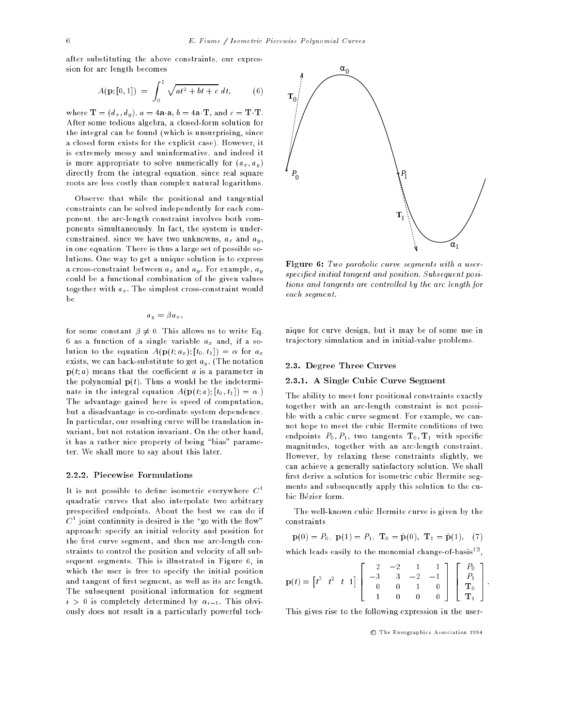after substituting the above constraints, our expression for arc length becomes

$$
A(\mathbf{p};[0,1]) = \int_0^1 \sqrt{at^2 + bt + c} \ dt, \qquad (6)
$$

where  $\mathbf{T} = (d_x, d_y)$ ,  $a = 4a \cdot a$ ,  $b = 4a \cdot \mathbf{T}$ , and  $c = \mathbf{T} \cdot \mathbf{T}$ . After some tedious algebra, a closed-form solution for the integral can be found (which is unsurprising, since a closed form exists for the explicit case). However, it is extremely messy and uninformative, and indeed it is more appropriate to solve numerically for  $(a_x, a_y)$ directly from the integral equation, since real square roots are less costly than complex natural logarithms.

Observe that while the positional and tangential constraints can be solved independently for each component, the arc-length constraint involves both components simultaneously. In fact, the system is underconstrained, since we have two unknowns,  $a_x$  and  $a_y$ , in one equation. There is thus a large set of possible solutions. One way to get a unique solution is to express a cross-constraint between  $a_x$  and  $a_y$ . For example,  $a_y$ could be a functional combination of the given values together with  $a_x$ . The simplest cross-constraint would be

 $a_y = \beta a_x,$ 

for some constant  $\beta \neq 0$ . This allows us to write Eq. 6 as a function of a single variable  $a_x$  and, if a solution to the equation  $A(\mathbf{p}(t; a_x); [t_0, t_1]) = \alpha$  for  $a_x$ exists, we can back-substitute to get  $a_y$ . (The notation  $p(t; a)$  means that the coefficient a is a parameter in the polynomial  $p(t)$ . Thus a would be the indeterminate in the integral equation  $A(\mathbf{p}(t; a); [t_0, t_1]) = \alpha.$ ) The advantage gained here is speed of computation, but a disadvantage is co-ordinate system dependence. In particular, our resulting curve will be translation invariant, but not rotation invariant. On the other hand, it has a rather nice property of being "bias" parameter. We shall more to say about this later.

# 2.2.2. Piecewise Formulations

It is not possible to define isometric everywhere  $C<sup>1</sup>$ quadratic curves that also interpolate two arbitrary prespecied endpoints. About the best we can do if  $C^1$  joint continuity is desired is the "go with the flow" approach: specify an initial velocity and position for the first curve segment, and then use arc-length constraints to control the position and velocity of all subsequent segments. This is illustrated in Figure 6, in which the user is free to specify the initial position and tangent of first segment, as well as its arc length. The subsequent positional information for segment  $i > 0$  is completely determined by  $\alpha_{i-1}$ . This obviously does not result in a particularly powerful tech-



Figure 6: Two parabolic curve segments with a userspecified initial tangent and position. Subsequent positions and tangents are controlled by the arc length for each segment.

nique for curve design, but it may be of some use in trajectory simulation and in initial-value problems.

# 2.3. Degree Three Curves

## 2.3.1. A Single Cubic Curve Segment

The ability to meet four positional constraints exactly together with an arc-length constraint is not possible with a cubic curve segment. For example, we cannot hope to meet the cubic Hermite conditions of two endpoints  $P_0, P_1$ , two tangents  $\mathbf{T}_0, \mathbf{T}_1$  with specific magnitudes, together with an arc-length constraint. However, by relaxing these constraints slightly, we can achieve a generally satisfactory solution. We shall first derive a solution for isometric cubic Hermite segments and subsequently apply this solution to the cubic Bezier form.

The well-known cubic Hermite curve is given by the constraints

$$
\mathbf{p}(0) = P_0, \ \mathbf{p}(1) = P_1, \ \mathbf{T}_0 = \dot{\mathbf{p}}(0), \ \mathbf{T}_1 = \dot{\mathbf{p}}(1), \ \ (7)
$$

which leads easily to the monomial change-of-basis<sup>--</sup>,

$$
\mathbf{p}(t) = \begin{bmatrix} t^3 & t^2 & t & 1 \end{bmatrix} \begin{bmatrix} 2 & -2 & 1 & 1 \\ -3 & 3 & -2 & -1 \\ 0 & 0 & 1 & 0 \\ 1 & 0 & 0 & 0 \end{bmatrix} \begin{bmatrix} P_0 \\ P_1 \\ \mathbf{T}_0 \\ \mathbf{T}_1 \end{bmatrix}.
$$

This gives rise to the following expression in the user-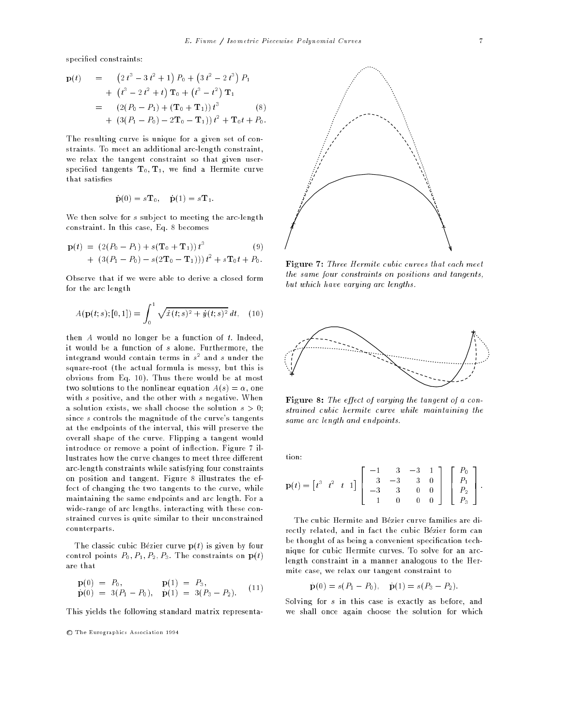specified constraints:

$$
\mathbf{p}(t) = (2 t^3 - 3 t^2 + 1) P_0 + (3 t^2 - 2 t^3) P_1
$$
  
+  $(t^3 - 2 t^2 + t) \mathbf{T}_0 + (t^3 - t^2) \mathbf{T}_1$   
=  $(2(P_0 - P_1) + (\mathbf{T}_0 + \mathbf{T}_1)) t^3$  (8)  
+  $(3(P_1 - P_0) - 2\mathbf{T}_0 - \mathbf{T}_1)) t^2 + \mathbf{T}_0 t + P_0.$ 

The resulting curve is unique for a given set of constraints. To meet an additional arc-length constraint, we relax the tangent constraint so that given userspecified tangents  $T_0, T_1$ , we find a Hermite curve that satisfies

$$
\dot{\mathbf{p}}(0) = s\mathbf{T}_0, \quad \dot{\mathbf{p}}(1) = s\mathbf{T}_1.
$$

We then solve for  $s$  subject to meeting the arc-length constraint. In this case, Eq. 8 becomes

$$
\mathbf{p}(t) = (2(P_0 - P_1) + s(\mathbf{T}_0 + \mathbf{T}_1)) t^3
$$
  
+ (3(P\_1 - P\_0) - s(2\mathbf{T}\_0 - \mathbf{T}\_1))) t^2 + s\mathbf{T}\_0 t + P\_0.

Observe that if we were able to derive a closed form for the arc length

$$
A(\mathbf{p}(t;s);[0,1]) = \int_0^1 \sqrt{\dot{x}(t;s)^2 + \dot{y}(t;s)^2} dt, \quad (10)
$$

then  $A$  would no longer be a function of  $t$ . Indeed, it would be a function of s alone. Furthermore, the integrand would contain terms in  $s$  -and  $s$  under the square-root (the actual formula is messy, but this is obvious from Eq. 10). Thus there would be at most two solutions to the nonlinear equation  $A(s) = \alpha$ , one with s positive, and the other with s negative. When a solution exists, we shall choose the solution  $s > 0$ ; since <sup>s</sup> controls the magnitude of the curve's tangents at the endpoints of the interval, this will preserve the overall shape of the curve. Flipping a tangent would introduce or remove a point of inflection. Figure 7 illustrates how the curve changes to meet three different arc-length constraints while satisfying four constraints on position and tangent. Figure 8 illustrates the effect of changing the two tangents to the curve, while maintaining the same endpoints and arc length. For a wide-range of arc lengths, interacting with these constrained curves is quite similar to their unconstrained counterparts.

The classic cubic Bézier curve  $p(t)$  is given by four control points  $P_0$ ,  $P_1$ ,  $P_2$ ,  $P_3$ . The constraints on  $p(t)$ are that

$$
\mathbf{p}(0) = P_0, \qquad \mathbf{p}(1) = P_3, \n\mathbf{p}(0) = 3(P_1 - P_0), \quad \mathbf{p}(1) = 3(P_3 - P_2).
$$
\n(11)

This yields the following standard matrix representa-

<sup>c</sup> The Eurographics Association 1994



Figure 7: Three Hermite cubic curves that each meet the same four constraints on positions and tangents, but which have varying arc lengths.



Figure 8: The effect of varying the tangent of a constrained cubic hermite curve while maintaining the same arc length and endpoints.

tion:

$$
\mathbf{p}(t) = \begin{bmatrix} t^3 & t^2 & t & 1 \end{bmatrix} \begin{bmatrix} -1 & 3 & -3 & 1 \\ 3 & -3 & 3 & 0 \\ -3 & 3 & 0 & 0 \\ 1 & 0 & 0 & 0 \end{bmatrix} \begin{bmatrix} P_0 \\ P_1 \\ P_2 \\ P_3 \end{bmatrix}.
$$

The cubic Hermite and Bezier curve families are directly related, and in fact the cubic Bézier form can be thought of as being a convenient specification technique for cubic Hermite curves. To solve for an arclength constraint in a manner analogous to the Hermite case, we relax our tangent constraint to

$$
\mathbf{p}(0) = s(P_1 - P_0), \quad \mathbf{p}(1) = s(P_3 - P_2).
$$

Solving for s in this case is exactly as before, and we shall once again choose the solution for which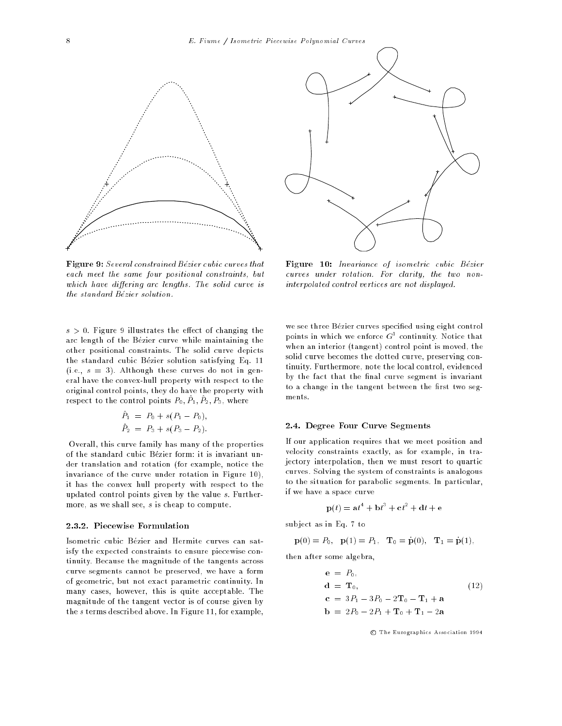

Figure 9: Several constrained Bézier cubic curves that each meet the same four positional constraints, but which have differing arc lengths. The solid curve is the standard Bézier solution.

 $s > 0$ . Figure 9 illustrates the effect of changing the arc length of the Bezier curve while maintaining the other positional constraints. The solid curve depicts the standard cubic Bezier solution satisfying Eq. 11  $(i.e., s = 3)$ . Although these curves do not in general have the convex-hull property with respect to the original control points, they do have the property with respect to the control points  $P_0, P_1, P_2, P_3,$  where

$$
P_1 = P_0 + s(P_1 - P_0),
$$
  

$$
\hat{P}_2 = P_3 + s(P_3 - P_2).
$$

Overall, this curve family has many of the properties of the standard cubic Bezier form: it is invariant under translation and rotation (for example, notice the invariance of the curve under rotation in Figure 10), it has the convex hull property with respect to the updated control points given by the value s. Furthermore, as we shall see, s is cheap to compute.

## 2.3.2. Piecewise Formulation

Isometric cubic Bezier and Hermite curves can satisfy the expected constraints to ensure piecewise continuity. Because the magnitude of the tangents across curve segments cannot be preserved, we have a form of geometric, but not exact parametric continuity. In many cases, however, this is quite acceptable. The magnitude of the tangent vector is of course given by the s terms described above. In Figure 11, for example,



Figure 10: Invariance of isometric cubic Bézier curves under rotation. For clarity, the two noninterpolated control vertices are not displayed.

we see three Bézier curves specified using eight control points in which we enforce  $G^{\scriptscriptstyle\perp}$  continuity. Notice that when an interior (tangent) control point is moved, the solid curve becomes the dotted curve, preserving continuity. Furthermore, note the local control, evidenced by the fact that the final curve segment is invariant to a change in the tangent between the first two segments.

#### 2.4. Degree Four Curve Segments

If our application requires that we meet position and velocity constraints exactly, as for example, in trajectory interpolation, then we must resort to quartic curves. Solving the system of constraints is analogous to the situation for parabolic segments. In particular, if we have a space curve

$$
p(t) = at^4 + bt^3 + ct^2 + dt + e
$$

sub ject as in Eq. 7 to

$$
\mathbf{p}(0) = P_0, \quad \mathbf{p}(1) = P_1, \quad \mathbf{T}_0 = \mathbf{p}(0), \quad \mathbf{T}_1 = \mathbf{p}(1),
$$

then after some algebra,

$$
e = P_0,
$$
  
\n
$$
d = T_0,
$$
  
\n
$$
c = 3P_1 - 3P_0 - 2T_0 - T_1 + a
$$
  
\n
$$
b = 2P_0 - 2P_1 + T_0 + T_1 - 2a
$$
\n(12)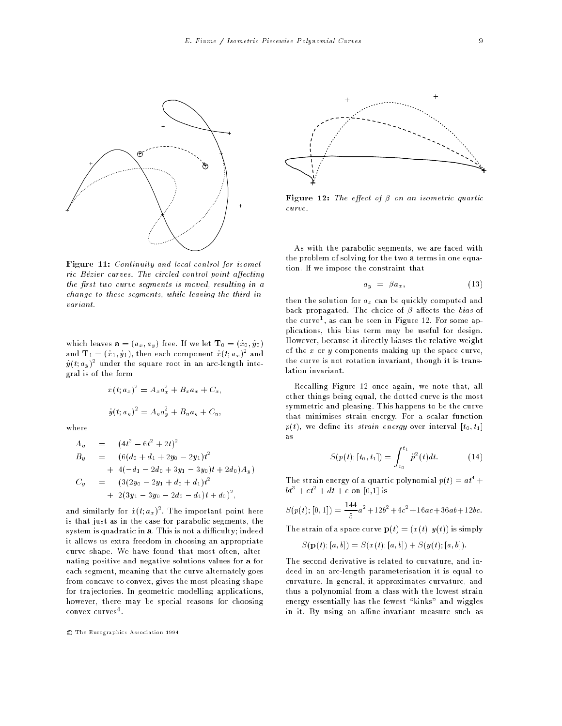

Figure 11: Continuity and local control for isomet $ric Bézier curves. The circled control point affecting$ the first two curve segments is moved, resulting in a change to these segments, while leaving the third invariant.

which leaves  $\mathbf{a} = (a_x, a_y)$  free. If we let  $\mathbf{T}_0 = (x_0, y_0)$ and  $\mathbf{T}_1 = (\dot{x}_1, \dot{y}_1)$ , then each component  $\dot{x} (t; a_x)^2$  and  $y(t; a_y)^2$  under the square root in an arc-length integral is of the form

$$
\dot{x}(t; a_x)^2 = A_x a_x^2 + B_x a_x + C_x,
$$
  

$$
\dot{y}(t; a_y)^2 = A_y a_y^2 + B_y a_y + C_y,
$$

where

$$
A_y = (4t^3 - 6t^2 + 2t)^2
$$
  
\n
$$
B_y = (6(d_0 + d_1 + 2y_0 - 2y_1)t^2
$$
  
\n
$$
+ 4(-d_1 - 2d_0 + 3y_1 - 3y_0)t + 2d_0)A_y
$$
  
\n
$$
C_y = (3(2y_0 - 2y_1 + d_0 + d_1)t^2
$$
  
\n
$$
+ 2(3y_1 - 3y_0 - 2d_0 - d_1)t + d_0)^2,
$$

and similarly for  $x(t; a_x)$ . The important point here is that just as in the case for parabolic segments, the system is quadratic in a. This is not a difficulty; indeed it allows us extra freedom in choosing an appropriate curve shape. We have found that most often, alternating positive and negative solutions values for a for each segment, meaning that the curve alternately goes from concave to convex, gives the most pleasing shape for trajectories. In geometric modelling applications, however, there may be special reasons for choosing convex curves .

<sup>c</sup> The Eurographics Association 1994



Figure 12: The effect of  $\beta$  on an isometric quartic curve.

As with the parabolic segments, we are faced with the problem of solving for the two a terms in one equation. If we impose the constraint that

$$
a_y = \beta a_x, \tag{13}
$$

then the solution for  $a_x$  can be quickly computed and back propagated. The choice of  $\beta$  affects the bias of the curve <sup>1</sup> , as can be seen in Figure 12. For some applications, this bias term may be useful for design. However, because it directly biases the relative weight of the  $x$  or  $y$  components making up the space curve, the curve is not rotation invariant, though it is translation invariant.

Recalling Figure 12 once again, we note that, all other things being equal, the dotted curve is the most symmetric and pleasing. This happens to be the curve that minimises strain energy. For a scalar function  $p(t)$ , we define its strain energy over interval  $[t_0, t_1]$ a s

$$
S(p(t); [t_0, t_1]) = \int_{t_0}^{t_1} \ddot{p}^2(t) dt.
$$
 (14)

The strain energy of a quartic polynomial  $p(t) = a t^2 +$  $bt^3+ct^2+dt+e$  on [0,1] is

$$
S(p(t); [0, 1]) = \frac{144}{5}a^2 + 12b^2 + 4c^2 + 16ac + 36ab + 12bc.
$$

The strain of a space curve  $\mathbf{p}(t) = (x(t), y(t))$  is simply

$$
S(\mathbf{p}(t);[a,b]) = S(x(t);[a,b]) + S(y(t);[a,b]).
$$

The second derivative is related to curvature, and indeed in an arc-length parameterisation it is equal to curvature. In general, it approximates curvature, and thus a polynomial from a class with the lowest strain energy essentially has the fewest "kinks" and wiggles in it. By using an affine-invariant measure such as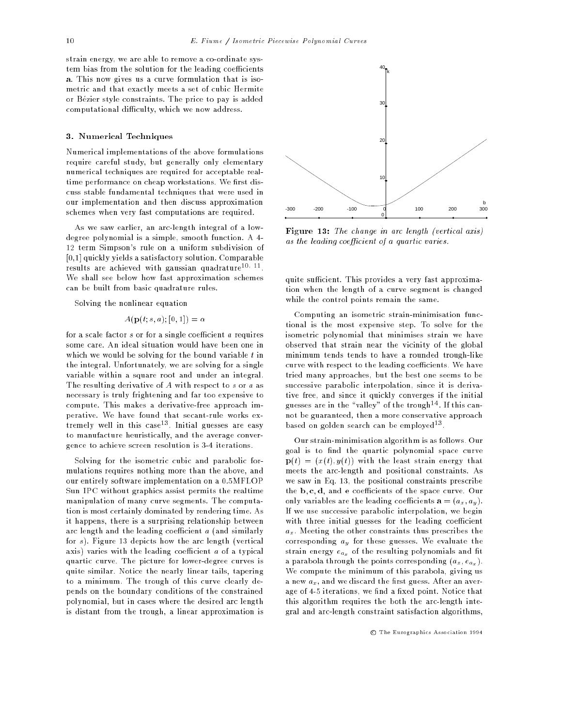strain energy, we are able to remove a co-ordinate system bias from the solution for the leading coefficients a. This now gives us a curve formulation that is isometric and that exactly meets a set of cubic Hermite or Bezier style constraints. The price to pay is added computational difficulty, which we now address.

# 3. Numerical Techniques

Numerical implementations of the above formulations require careful study, but generally only elementary numerical techniques are required for acceptable realtime performance on cheap workstations. We first discuss stable fundamental techniques that were used in our implementation and then discuss approximation schemes when very fast computations are required.

As we saw earlier, an arc-length integral of a lowdegree polynomial is a simple, smooth function. A 4- 12 term Simpson's rule on a uniform subdivision of [0,1] quickly yields a satisfactory solution. Comparable results are achieved with gaussian quadrature 11.11. We shall see below how fast approximation schemes can be built from basic quadrature rules.

Solving the nonlinear equation

$$
A(\mathbf{p}(t;s,a);[0,1]) = \alpha
$$

for a scale factor  $s$  or for a single coefficient  $a$  requires some care. An ideal situation would have been one in which we would be solving for the bound variable t in the integral. Unfortunately, we are solving for a single variable within a square root and under an integral. The resulting derivative of A with respect to s or a as necessary is truly frightening and far too expensive to compute. This makes a derivative-free approach imperative. We have found that secant-rule works extremely well in this case<sup>--</sup>. Initial guesses are easy to manufacture heuristically, and the average convergence to achieve screen resolution is 3-4 iterations.

Solving for the isometric cubic and parabolic formulations requires nothing more than the above, and our entirely software implementation on a 0.5MFLOP Sun IPC without graphics assist permits the realtime manipulation of many curve segments. The computation is most certainly dominated by rendering time. As it happens, there is a surprising relationship between arc length and the leading coefficient  $a$  (and similarly for s). Figure 13 depicts how the arc length (vertical axis) varies with the leading coefficient  $a$  of a typical quartic curve. The picture for lower-degree curves is quite similar. Notice the nearly linear tails, tapering to a minimum. The trough of this curve clearly depends on the boundary conditions of the constrained polynomial, but in cases where the desired arc length is distant from the trough, a linear approximation is



Figure 13: The change in arc length (vertical axis) as the leading coefficient of a quartic varies.

quite sufficient. This provides a very fast approximation when the length of a curve segment is changed while the control points remain the same.

Computing an isometric strain-minimisation functional is the most expensive step. To solve for the isometric polynomial that minimises strain we have observed that strain near the vicinity of the global minimum tends tends to have a rounded trough-like curve with respect to the leading coefficients. We have tried many approaches, but the best one seems to be successive parabolic interpolation, since it is derivative free, and since it quickly converges if the initial guesses are in the "valley" of the trough<sup>14</sup>. If this cannot be guaranteed, then a more conservative approach pased on golden search can be employed  $\overline{\phantom{a}}$  .

Our strain-minimisation algorithm is as follows. Our goal is to find the quartic polynomial space curve  $\mathbf{p}(t) = (x(t), y(t))$  with the least strain energy that meets the arc-length and positional constraints. As we saw in Eq. 13, the positional constraints prescribe the  $\mathbf{b}, \mathbf{c}, \mathbf{d}$ , and  $\mathbf{e}$  coefficients of the space curve. Our only variables are the leading coefficients  $\mathbf{a} = (a_x, a_y)$ . If we use successive parabolic interpolation, we begin with three initial guesses for the leading coefficient  $a_x$ . Meeting the other constraints thus prescribes the corresponding  $a_y$  for these guesses. We evaluate the strain energy  $e_{a_x}$  of the resulting polynomials and fit a parabola through the points corresponding  $(a_x, e_{a_x})$ . We compute the minimum of this parabola, giving us a new  $a_x$ , and we discard the first guess. After an average of 4-5 iterations, we find a fixed point. Notice that this algorithm requires the both the arc-length integral and arc-length constraint satisfaction algorithms,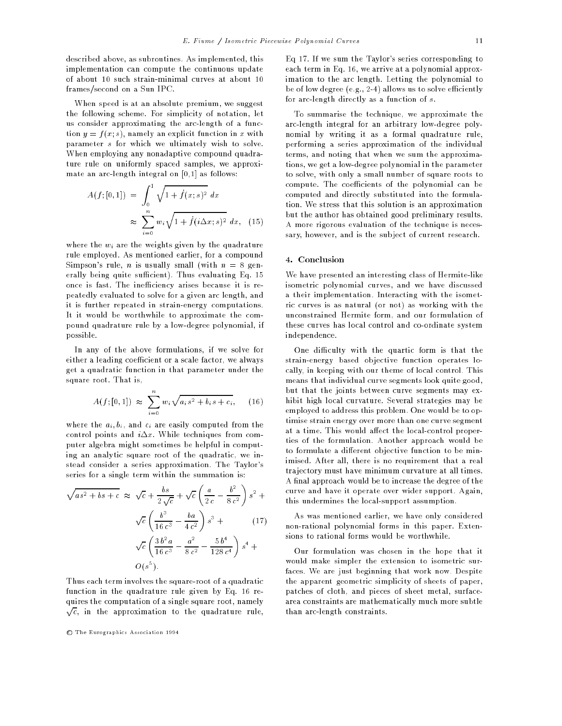described above, as subroutines. As implemented, this implementation can compute the continuous update of about 10 such strain-minimal curves at about 10 frames/second on a Sun IPC.

When speed is at an absolute premium, we suggest the following scheme. For simplicity of notation, let us consider approximating the arc-length of a function  $y = f(x; s)$ , namely an explicit function in x with parameter s for which we ultimately wish to solve. When employing any nonadaptive compound quadrature rule on uniformly spaced samples, we approximate an arc-length integral on [0,1] as follows:

$$
A(f; [0, 1]) = \int_0^1 \sqrt{1 + f(x; s)^2} \, dx
$$
  

$$
\approx \sum_{i=0}^n w_i \sqrt{1 + f(i\Delta x; s)^2} \, dx, \quad (15)
$$

where the  $w_i$  are the weights given by the quadrature rule employed. As mentioned earlier, for a compound Simpson's rule, *n* is usually small (with  $n = 8$  generally being quite sufficient). Thus evaluating Eq.  $15$ once is fast. The inefficiency arises because it is repeatedly evaluated to solve for a given arc length, and it is further repeated in strain-energy computations. It it would be worthwhile to approximate the compound quadrature rule by a low-degree polynomial, if possible.

In any of the above formulations, if we solve for either a leading coefficient or a scale factor, we always get a quadratic function in that parameter under the square root. That is,

$$
A(f; [0, 1]) \approx \sum_{i=0}^{n} w_i \sqrt{a_i s^2 + b_i s + c_i}, \qquad (16)
$$

where the  $a_i, b_i$ , and  $c_i$  are easily computed from the control points and  $i\Delta x$ . While techniques from computer algebra might sometimes be helpful in computing an analytic square root of the quadratic, we instead consider a series approximation. The Taylor's series for a single term within the summation is:

$$
\sqrt{as^2 + bs + c} \approx \sqrt{c} + \frac{bs}{2\sqrt{c}} + \sqrt{c} \left(\frac{a}{2c} - \frac{b^2}{8c^2}\right) s^2 +
$$
  

$$
\sqrt{c} \left(\frac{b^3}{16c^3} - \frac{ba}{4c^2}\right) s^3 +
$$
 (17)  

$$
\sqrt{c} \left(\frac{3b^2a}{16c^3} - \frac{a^2}{8c^2} - \frac{5b^4}{128c^4}\right) s^4 +
$$
  

$$
O(s^5).
$$

Thus each term involves the square-root of a quadratic function in the quadrature rule given by Eq. 16 requires the computation of a single square root, namely  $\sqrt{c}$ , in the approximation to the quadrature rule,

Eq 17. If we sum the Taylor's series corresponding to each term in Eq. 16, we arrive at a polynomial approximation to the arc length. Letting the polynomial to be of low degree  $(e.g., 2-4)$  allows us to solve efficiently for arc-length directly as a function of s.

To summarise the technique, we approximate the arc-length integral for an arbitrary low-degree polynomial by writing it as a formal quadrature rule, performing a series approximation of the individual terms, and noting that when we sum the approximations, we get a low-degree polynomial in the parameter to solve, with only a small number of square roots to compute. The coefficients of the polynomial can be computed and directly substituted into the formulation. We stress that this solution is an approximation but the author has obtained good preliminary results. A more rigorous evaluation of the technique is necessary, however, and is the subject of current research.

## 4. Conclusion

We have presented an interesting class of Hermite-like isometric polynomial curves, and we have discussed a their implementation. Interacting with the isometric curves is as natural (or not) as working with the unconstrained Hermite form, and our formulation of these curves has local control and co-ordinate system independence.

One difficulty with the quartic form is that the strain-energy based objective function operates locally, in keeping with our theme of local control. This means that individual curve segments look quite good, but that the joints between curve segments may exhibit high local curvature. Several strategies may be employed to address this problem. One would be to optimise strain energy over more than one curve segment at a time. This would affect the local-control properties of the formulation. Another approach would be to formulate a different objective function to be minimised. After all, there is no requirement that a real trajectory must have minimum curvature at all times. A final approach would be to increase the degree of the curve and have it operate over wider support. Again, this undermines the local-support assumption.

As was mentioned earlier, we have only considered non-rational polynomial forms in this paper. Extensions to rational forms would be worthwhile.

Our formulation was chosen in the hope that it would make simpler the extension to isometric surfaces. We are just beginning that work now. Despite the apparent geometric simplicity of sheets of paper, patches of cloth, and pieces of sheet metal, surfacearea constraints are mathematically much more subtle than arc-length constraints.

<sup>c</sup> The Eurographics Association 1994